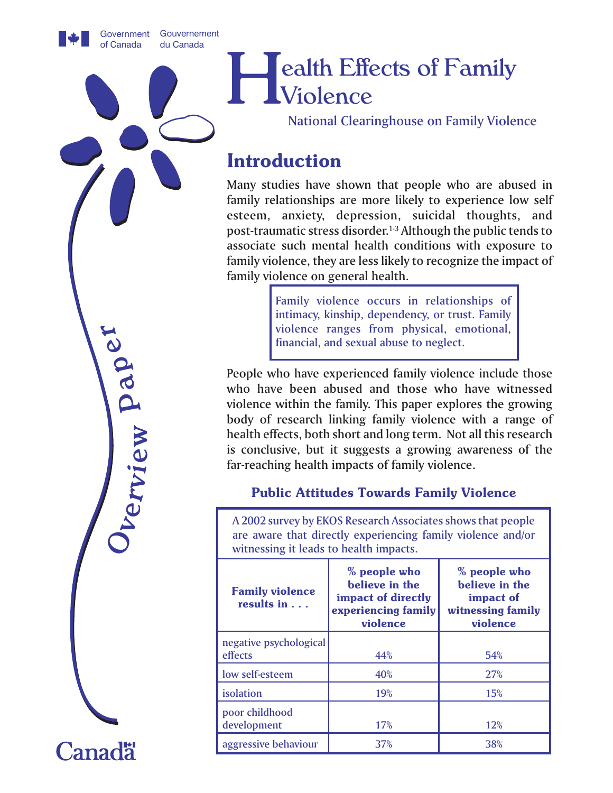Government Gouvernement of Canada du Canada

# Health Effects of Family Violence

National Clearinghouse on Family Violence

# **Introduction**

Many studies have shown that people who are abused in family relationships are more likely to experience low self esteem, anxiety, depression, suicidal thoughts, and post-traumatic stress disorder.1-3 Although the public tends to associate such mental health conditions with exposure to family violence, they are less likely to recognize the impact of family violence on general health.

> Family violence occurs in relationships of intimacy, kinship, dependency, or trust. Family violence ranges from physical, emotional, financial, and sexual abuse to neglect.

People who have experienced family violence include those who have been abused and those who have witnessed violence within the family. This paper explores the growing body of research linking family violence with a range of health effects, both short and long term. Not all this research is conclusive, but it suggests a growing awareness of the far-reaching health impacts of family violence.

### **Public Attitudes Towards Family Violence**

A 2002 survey by EKOS Research Associates shows that people are aware that directly experiencing family violence and/or witnessing it leads to health impacts.

| <b>Family violence</b><br>results in $\ldots$ | % people who<br>believe in the<br>impact of directly<br>experiencing family<br>violence | % people who<br>believe in the<br>impact of<br>witnessing family<br>violence |
|-----------------------------------------------|-----------------------------------------------------------------------------------------|------------------------------------------------------------------------------|
| negative psychological<br>effects             | 44%                                                                                     | 54%                                                                          |
| low self-esteem                               | 40%                                                                                     | <b>27%</b>                                                                   |
| isolation                                     | 19%                                                                                     | 15%                                                                          |
| poor childhood<br>development                 | 17%                                                                                     | 12%                                                                          |
| aggressive behaviour                          | 37%                                                                                     | 38%                                                                          |

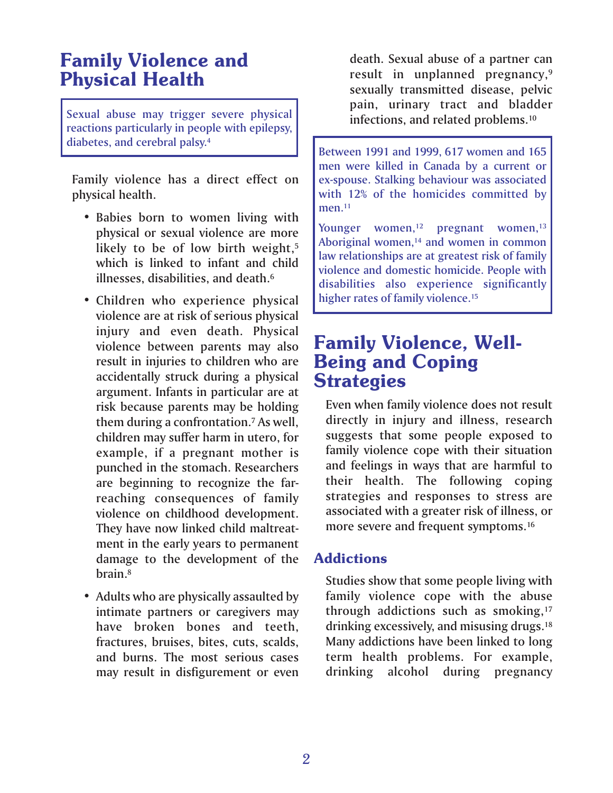# **Family Violence and Physical Health**

Sexual abuse may trigger severe physical reactions particularly in people with epilepsy, diabetes, and cerebral palsy.4

Family violence has a direct effect on physical health.

- Babies born to women living with physical or sexual violence are more likely to be of low birth weight,<sup>5</sup> which is linked to infant and child illnesses, disabilities, and death.6
- Children who experience physical violence are at risk of serious physical injury and even death. Physical violence between parents may also result in injuries to children who are accidentally struck during a physical argument. Infants in particular are at risk because parents may be holding them during a confrontation.7 As well, children may suffer harm in utero, for example, if a pregnant mother is punched in the stomach. Researchers are beginning to recognize the farreaching consequences of family violence on childhood development. They have now linked child maltreatment in the early years to permanent damage to the development of the brain.8
- Adults who are physically assaulted by intimate partners or caregivers may have broken bones and teeth, fractures, bruises, bites, cuts, scalds, and burns. The most serious cases may result in disfigurement or even

death. Sexual abuse of a partner can result in unplanned pregnancy,<sup>9</sup> sexually transmitted disease, pelvic pain, urinary tract and bladder infections, and related problems.10

Between 1991 and 1999, 617 women and 165 men were killed in Canada by a current or ex-spouse. Stalking behaviour was associated with 12% of the homicides committed by men.<sup>11</sup>

Younger women, $12$  pregnant women, $13$ Aboriginal women,<sup>14</sup> and women in common law relationships are at greatest risk of family violence and domestic homicide. People with disabilities also experience significantly higher rates of family violence.<sup>15</sup>

### **Family Violence, Well-Being and Coping Strategies**

Even when family violence does not result directly in injury and illness, research suggests that some people exposed to family violence cope with their situation and feelings in ways that are harmful to their health. The following coping strategies and responses to stress are associated with a greater risk of illness, or more severe and frequent symptoms.<sup>16</sup>

### **Addictions**

Studies show that some people living with family violence cope with the abuse through addictions such as smoking,<sup>17</sup> drinking excessively, and misusing drugs.18 Many addictions have been linked to long term health problems. For example, drinking alcohol during pregnancy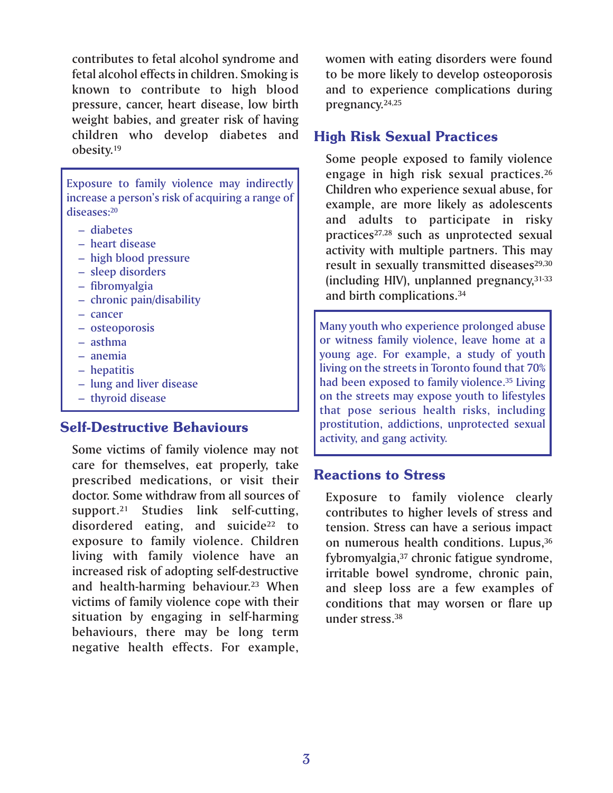contributes to fetal alcohol syndrome and fetal alcohol effects in children. Smoking is known to contribute to high blood pressure, cancer, heart disease, low birth weight babies, and greater risk of having children who develop diabetes and obesity.19

Exposure to family violence may indirectly increase a person's risk of acquiring a range of diseases:20

- diabetes
- heart disease
- high blood pressure
- sleep disorders
- fibromyalgia
- chronic pain/disability
- cancer
- osteoporosis
- asthma
- anemia
- hepatitis
- lung and liver disease
- thyroid disease

### **Self-Destructive Behaviours**

Some victims of family violence may not care for themselves, eat properly, take prescribed medications, or visit their doctor. Some withdraw from all sources of support.21 Studies link self-cutting, disordered eating, and suicide<sup>22</sup> to exposure to family violence. Children living with family violence have an increased risk of adopting self-destructive and health-harming behaviour.<sup>23</sup> When victims of family violence cope with their situation by engaging in self-harming behaviours, there may be long term negative health effects. For example,

women with eating disorders were found to be more likely to develop osteoporosis and to experience complications during pregnancy.24,25

### **High Risk Sexual Practices**

Some people exposed to family violence engage in high risk sexual practices.26 Children who experience sexual abuse, for example, are more likely as adolescents and adults to participate in risky practices<sup>27,28</sup> such as unprotected sexual activity with multiple partners. This may result in sexually transmitted diseases<sup>29,30</sup> (including HIV), unplanned pregnancy,31-33 and birth complications.34

Many youth who experience prolonged abuse or witness family violence, leave home at a young age. For example, a study of youth living on the streets in Toronto found that 70% had been exposed to family violence.<sup>35</sup> Living on the streets may expose youth to lifestyles that pose serious health risks, including prostitution, addictions, unprotected sexual activity, and gang activity.

### **Reactions to Stress**

Exposure to family violence clearly contributes to higher levels of stress and tension. Stress can have a serious impact on numerous health conditions. Lupus,<sup>36</sup> fybromyalgia,<sup>37</sup> chronic fatigue syndrome, irritable bowel syndrome, chronic pain, and sleep loss are a few examples of conditions that may worsen or flare up under stress.38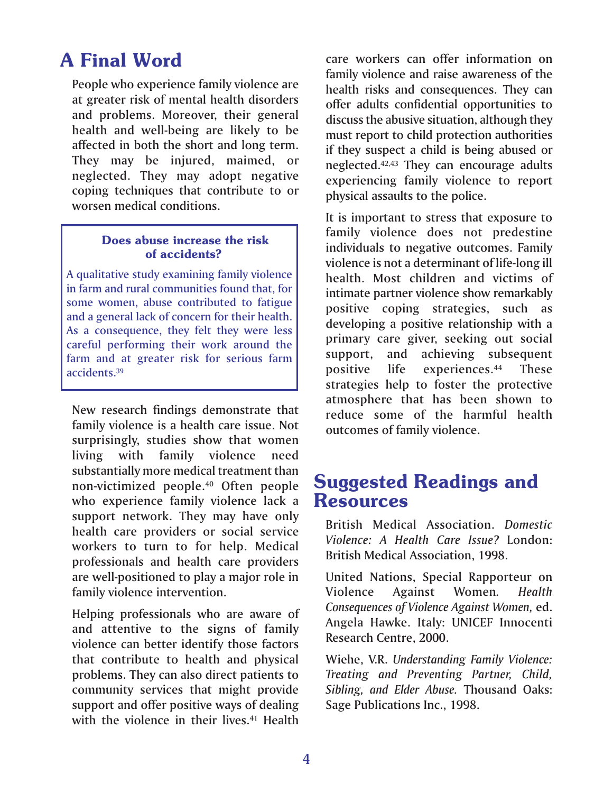# **A Final Word**

People who experience family violence are at greater risk of mental health disorders and problems. Moreover, their general health and well-being are likely to be affected in both the short and long term. They may be injured, maimed, or neglected. They may adopt negative coping techniques that contribute to or worsen medical conditions.

### **Does abuse increase the risk of accidents?**

A qualitative study examining family violence in farm and rural communities found that, for some women, abuse contributed to fatigue and a general lack of concern for their health. As a consequence, they felt they were less careful performing their work around the farm and at greater risk for serious farm accidents.39

New research findings demonstrate that family violence is a health care issue. Not surprisingly, studies show that women living with family violence need substantially more medical treatment than non-victimized people.40 Often people who experience family violence lack a support network. They may have only health care providers or social service workers to turn to for help. Medical professionals and health care providers are well-positioned to play a major role in family violence intervention.

Helping professionals who are aware of and attentive to the signs of family violence can better identify those factors that contribute to health and physical problems. They can also direct patients to community services that might provide support and offer positive ways of dealing with the violence in their lives.<sup>41</sup> Health

care workers can offer information on family violence and raise awareness of the health risks and consequences. They can offer adults confidential opportunities to discuss the abusive situation, although they must report to child protection authorities if they suspect a child is being abused or neglected.42,43 They can encourage adults experiencing family violence to report physical assaults to the police.

It is important to stress that exposure to family violence does not predestine individuals to negative outcomes. Family violence is not a determinant of life-long ill health. Most children and victims of intimate partner violence show remarkably positive coping strategies, such as developing a positive relationship with a primary care giver, seeking out social support, and achieving subsequent positive life experiences.44 These strategies help to foster the protective atmosphere that has been shown to reduce some of the harmful health outcomes of family violence.

# **Suggested Readings and Resources**

British Medical Association. *Domestic Violence: A Health Care Issue?* London: British Medical Association, 1998.

United Nations, Special Rapporteur on Violence Against Women*. Health Consequences of Violence Against Women,* ed. Angela Hawke. Italy: UNICEF Innocenti Research Centre, 2000.

Wiehe, V.R. *Understanding Family Violence: Treating and Preventing Partner, Child, Sibling, and Elder Abuse.* Thousand Oaks: Sage Publications Inc., 1998.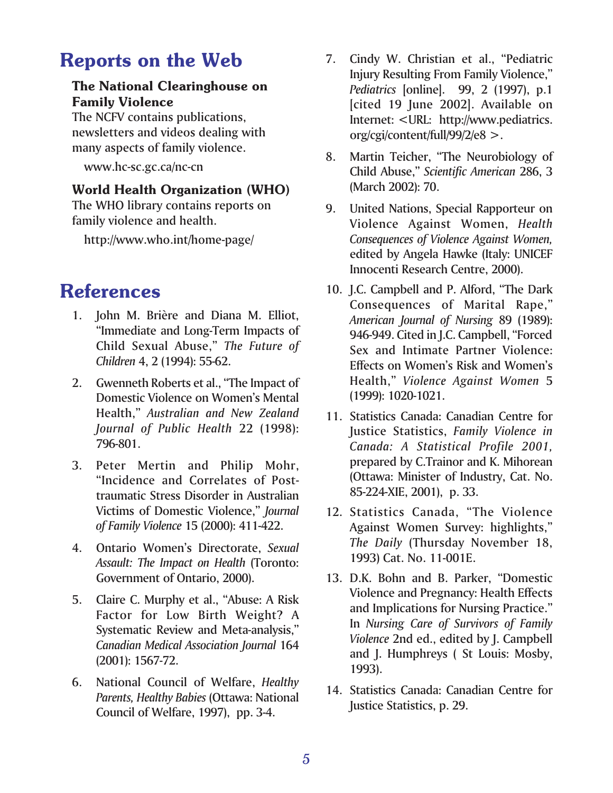# **Reports on the Web**

### **The National Clearinghouse on Family Violence**

The NCFV contains publications, newsletters and videos dealing with many aspects of family violence.

www.hc-sc.gc.ca/nc-cn

### **World Health Organization (WHO)**

The WHO library contains reports on family violence and health.

http://www.who.int/home-page/

# **References**

- 1. John M. Brière and Diana M. Elliot, "Immediate and Long-Term Impacts of Child Sexual Abuse," *The Future of Children* 4, 2 (1994): 55-62.
- 2. Gwenneth Roberts et al., "The Impact of Domestic Violence on Women's Mental Health," *Australian and New Zealand Journal of Public Health* 22 (1998): 796-801.
- 3. Peter Mertin and Philip Mohr, "Incidence and Correlates of Posttraumatic Stress Disorder in Australian Victims of Domestic Violence," *Journal of Family Violence* 15 (2000): 411-422.
- 4. Ontario Women's Directorate, *Sexual Assault: The Impact on Health* (Toronto: Government of Ontario, 2000).
- 5. Claire C. Murphy et al., "Abuse: A Risk Factor for Low Birth Weight? A Systematic Review and Meta-analysis," *Canadian Medical Association Journal* 164 (2001): 1567-72.
- 6. National Council of Welfare, *Healthy Parents, Healthy Babies* (Ottawa: National Council of Welfare, 1997), pp. 3-4.
- 7. Cindy W. Christian et al., "Pediatric Injury Resulting From Family Violence," *Pediatrics* [online]. 99, 2 (1997), p.1 [cited 19 June 2002]. Available on Internet: <URL: http://www.pediatrics. org/cgi/content/full/99/2/e8 >.
- 8. Martin Teicher, "The Neurobiology of Child Abuse," *Scientific American* 286, 3 (March 2002): 70.
- 9. United Nations, Special Rapporteur on Violence Against Women, *Health Consequences of Violence Against Women,* edited by Angela Hawke (Italy: UNICEF Innocenti Research Centre, 2000).
- 10. J.C. Campbell and P. Alford, "The Dark Consequences of Marital Rape," *American Journal of Nursing* 89 (1989): 946-949. Cited in J.C. Campbell, "Forced Sex and Intimate Partner Violence: Effects on Women's Risk and Women's Health," *Violence Against Women* 5 (1999): 1020-1021.
- 11. Statistics Canada: Canadian Centre for Justice Statistics, *Family Violence in Canada: A Statistical Profile 2001,* prepared by C.Trainor and K. Mihorean (Ottawa: Minister of Industry, Cat. No. 85-224-XIE, 2001), p. 33.
- 12. Statistics Canada, "The Violence Against Women Survey: highlights," *The Daily* (Thursday November 18, 1993) Cat. No. 11-001E.
- 13. D.K. Bohn and B. Parker, "Domestic Violence and Pregnancy: Health Effects and Implications for Nursing Practice." In *Nursing Care of Survivors of Family Violence* 2nd ed., edited by J. Campbell and J. Humphreys ( St Louis: Mosby, 1993).
- 14. Statistics Canada: Canadian Centre for Justice Statistics, p. 29.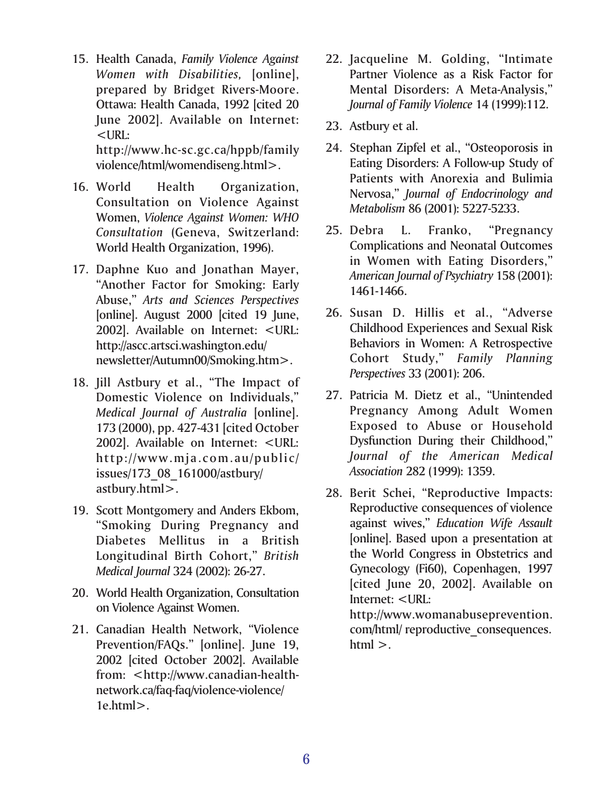15. Health Canada, *Family Violence Against Women with Disabilities,* [online], prepared by Bridget Rivers-Moore. Ottawa: Health Canada, 1992 [cited 20 June 2002]. Available on Internet: <URL:

http://www.hc-sc.gc.ca/hppb/family violence/html/womendiseng.html>.

- 16. World Health Organization, Consultation on Violence Against Women, *Violence Against Women: WHO Consultation* (Geneva, Switzerland: World Health Organization, 1996).
- 17. Daphne Kuo and Jonathan Mayer, "Another Factor for Smoking: Early Abuse," *Arts and Sciences Perspectives* [online]. August 2000 [cited 19 June, 2002]. Available on Internet: <URL: http://ascc.artsci.washington.edu/ newsletter/Autumn00/Smoking.htm>.
- 18. Jill Astbury et al., "The Impact of Domestic Violence on Individuals," *Medical Journal of Australia* [online]. 173 (2000), pp. 427-431 [cited October 2002]. Available on Internet: <URL: http://www.mja.com.au/public/ issues/173\_08\_161000/astbury/ astbury.html>.
- 19. Scott Montgomery and Anders Ekbom, "Smoking During Pregnancy and Diabetes Mellitus in a British Longitudinal Birth Cohort," *British Medical Journal* 324 (2002): 26-27.
- 20. World Health Organization, Consultation on Violence Against Women.
- 21. Canadian Health Network, "Violence Prevention/FAQs." [online]. June 19, 2002 [cited October 2002]. Available from: <http://www.canadian-healthnetwork.ca/faq-faq/violence-violence/ 1e.html>.
- 22. Jacqueline M. Golding, "Intimate Partner Violence as a Risk Factor for Mental Disorders: A Meta-Analysis," *Journal of Family Violence* 14 (1999):112.
- 23. Astbury et al.
- 24. Stephan Zipfel et al., "Osteoporosis in Eating Disorders: A Follow-up Study of Patients with Anorexia and Bulimia Nervosa," *Journal of Endocrinology and Metabolism* 86 (2001): 5227-5233.
- 25. Debra L. Franko, "Pregnancy Complications and Neonatal Outcomes in Women with Eating Disorders," *American Journal of Psychiatry* 158 (2001): 1461-1466.
- 26. Susan D. Hillis et al., "Adverse Childhood Experiences and Sexual Risk Behaviors in Women: A Retrospective Cohort Study," *Family Planning Perspectives* 33 (2001): 206.
- 27. Patricia M. Dietz et al., "Unintended Pregnancy Among Adult Women Exposed to Abuse or Household Dysfunction During their Childhood," *Journal of the American Medical Association* 282 (1999): 1359.
- 28. Berit Schei, "Reproductive Impacts: Reproductive consequences of violence against wives," *Education Wife Assault* [online]. Based upon a presentation at the World Congress in Obstetrics and Gynecology (Fi60), Copenhagen, 1997 [cited June 20, 2002]. Available on Internet: <URL: http://www.womanabuseprevention.

com/html/ reproductive\_consequences.  $html >.$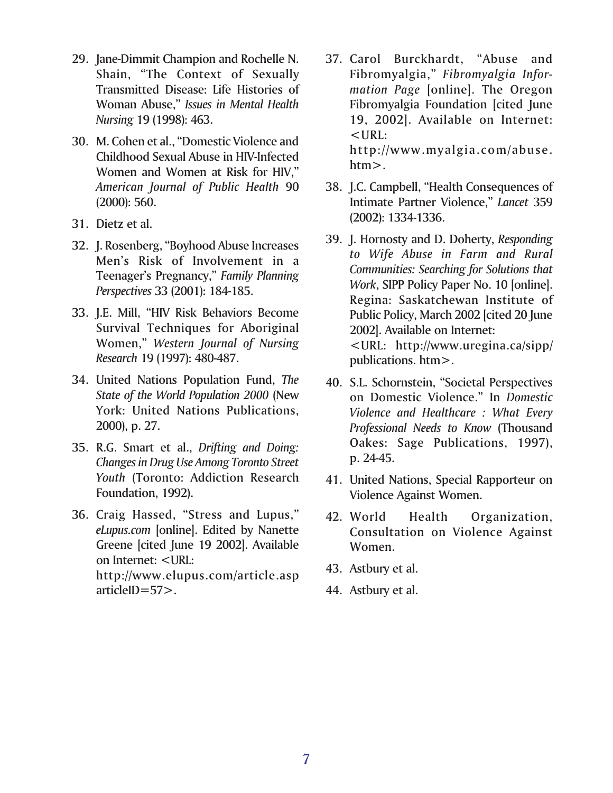- 29. Jane-Dimmit Champion and Rochelle N. Shain, "The Context of Sexually Transmitted Disease: Life Histories of Woman Abuse," *Issues in Mental Health Nursing* 19 (1998): 463.
- 30. M. Cohen et al., "Domestic Violence and Childhood Sexual Abuse in HIV-Infected Women and Women at Risk for HIV," *American Journal of Public Health* 90 (2000): 560.
- 31. Dietz et al.
- 32. J. Rosenberg, "Boyhood Abuse Increases Men's Risk of Involvement in a Teenager's Pregnancy," *Family Planning Perspectives* 33 (2001): 184-185.
- 33. J.E. Mill, "HIV Risk Behaviors Become Survival Techniques for Aboriginal Women," *Western Journal of Nursing Research* 19 (1997): 480-487.
- 34. United Nations Population Fund, *The State of the World Population 2000* (New York: United Nations Publications, 2000), p. 27.
- 35. R.G. Smart et al., *Drifting and Doing: Changes in Drug Use Among Toronto Street Youth* (Toronto: Addiction Research Foundation, 1992).
- 36. Craig Hassed, "Stress and Lupus," *eLupus.com* [online]. Edited by Nanette Greene [cited June 19 2002]. Available on Internet: <URL: http://www.elupus.com/article.asp articleID=57>.
- 37. Carol Burckhardt, "Abuse and Fibromyalgia," *Fibromyalgia Information Page* [online]. The Oregon Fibromyalgia Foundation [cited June 19, 2002]. Available on Internet:  $<$ URL: http://www.myalgia.com/abuse.
- 38. J.C. Campbell, "Health Consequences of Intimate Partner Violence," *Lancet* 359 (2002): 1334-1336.

htm>.

- 39. J. Hornosty and D. Doherty, *Responding to Wife Abuse in Farm and Rural Communities: Searching for Solutions that Work*, SIPP Policy Paper No. 10 [online]. Regina: Saskatchewan Institute of Public Policy, March 2002 [cited 20 June 2002]. Available on Internet: <URL: http://www.uregina.ca/sipp/ publications. htm>.
- 40. S.L. Schornstein, "Societal Perspectives on Domestic Violence." In *Domestic Violence and Healthcare : What Every Professional Needs to Know* (Thousand Oakes: Sage Publications, 1997), p. 24-45.
- 41. United Nations, Special Rapporteur on Violence Against Women.
- 42. World Health Organization, Consultation on Violence Against Women.
- 43. Astbury et al.
- 44. Astbury et al.